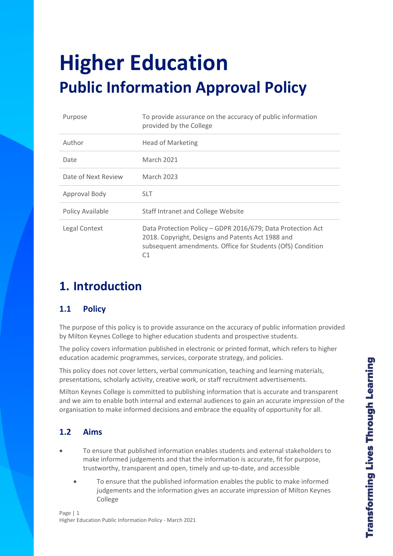# **Higher Education Public Information Approval Policy**

| Purpose             | To provide assurance on the accuracy of public information<br>provided by the College                                                                                                |  |
|---------------------|--------------------------------------------------------------------------------------------------------------------------------------------------------------------------------------|--|
| Author              | <b>Head of Marketing</b>                                                                                                                                                             |  |
| Date                | <b>March 2021</b>                                                                                                                                                                    |  |
| Date of Next Review | <b>March 2023</b>                                                                                                                                                                    |  |
| Approval Body       | <b>SLT</b>                                                                                                                                                                           |  |
| Policy Available    | Staff Intranet and College Website                                                                                                                                                   |  |
| Legal Context       | Data Protection Policy - GDPR 2016/679; Data Protection Act<br>2018. Copyright, Designs and Patents Act 1988 and<br>subsequent amendments. Office for Students (OfS) Condition<br>C1 |  |

### **1. Introduction**

#### **1.1 Policy**

The purpose of this policy is to provide assurance on the accuracy of public information provided by Milton Keynes College to higher education students and prospective students.

The policy covers information published in electronic or printed format, which refers to higher education academic programmes, services, corporate strategy, and policies.

This policy does not cover letters, verbal communication, teaching and learning materials, presentations, scholarly activity, creative work, or staff recruitment advertisements.

Milton Keynes College is committed to publishing information that is accurate and transparent and we aim to enable both internal and external audiences to gain an accurate impression of the organisation to make informed decisions and embrace the equality of opportunity for all.

#### **1.2 Aims**

- To ensure that published information enables students and external stakeholders to make informed judgements and that the information is accurate, fit for purpose, trustworthy, transparent and open, timely and up-to-date, and accessible
	- To ensure that the published information enables the public to make informed judgements and the information gives an accurate impression of Milton Keynes College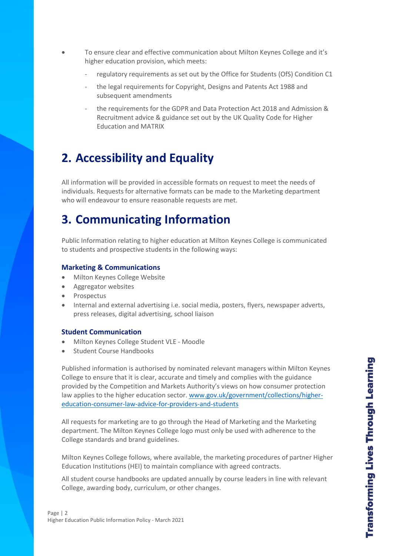- To ensure clear and effective communication about Milton Keynes College and it's higher education provision, which meets:
	- regulatory requirements as set out by the Office for Students (OfS) Condition C1
	- the legal requirements for Copyright, Designs and Patents Act 1988 and subsequent amendments
	- the requirements for the GDPR and Data Protection Act 2018 and Admission & Recruitment advice & guidance set out by the UK Quality Code for Higher Education and MATRIX

# **2. Accessibility and Equality**

All information will be provided in accessible formats on request to meet the needs of individuals. Requests for alternative formats can be made to the Marketing department who will endeavour to ensure reasonable requests are met.

### **3. Communicating Information**

Public Information relating to higher education at Milton Keynes College is communicated to students and prospective students in the following ways:

#### **Marketing & Communications**

- Milton Keynes College Website
- Aggregator websites
- Prospectus
- Internal and external advertising i.e. social media, posters, flyers, newspaper adverts, press releases, digital advertising, school liaison

#### **Student Communication**

- Milton Keynes College Student VLE Moodle
- Student Course Handbooks

Published information is authorised by nominated relevant managers within Milton Keynes College to ensure that it is clear, accurate and timely and complies with the guidance provided by the Competition and Markets Authority's views on how consumer protection law applies to the higher education sector. [www.gov.uk/government/collections/higher](http://www.gov.uk/government/collections/higher-education-consumer-law-advice-for-providers-and-students)[education-consumer-law-advice-for-providers-and-students](http://www.gov.uk/government/collections/higher-education-consumer-law-advice-for-providers-and-students)

All requests for marketing are to go through the Head of Marketing and the Marketing department. The Milton Keynes College logo must only be used with adherence to the College standards and brand guidelines.

Milton Keynes College follows, where available, the marketing procedures of partner Higher Education Institutions (HEI) to maintain compliance with agreed contracts.

All student course handbooks are updated annually by course leaders in line with relevant College, awarding body, curriculum, or other changes.